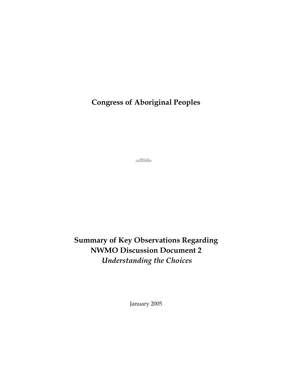**Congress of Aboriginal Peoples** 

QuickTime™ and a Photo - JPEG decompressor are needed to see this picture.

**Summary of Key Observations Regarding NWMO Discussion Document 2**  *Understanding the Choices* 

January 2005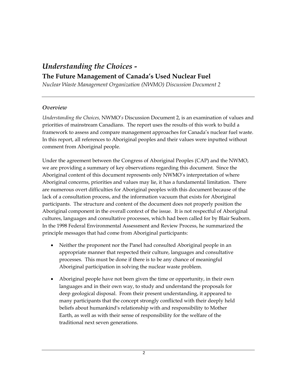# *Understanding the Choices -*  **The Future Management of Canada's Used Nuclear Fuel**

*Nuclear Waste Management Organization (NWMO) Discussion Document 2* 

#### *Overview*

*Understanding the Choices,* NWMO'*s* Discussion Document 2, is an examination of values and priorities of mainstream Canadians. The report uses the results of this work to build a framework to assess and compare management approaches for Canada's nuclear fuel waste. In this report, all references to Aboriginal peoples and their values were inputted without comment from Aboriginal people.

Under the agreement between the Congress of Aboriginal Peoples (CAP) and the NWMO, we are providing a summary of key observations regarding this document. Since the Aboriginal content of this document represents only NWMO's interpretation of where Aboriginal concerns, priorities and values may lie, it has a fundamental limitation. There are numerous overt difficulties for Aboriginal peoples with this document because of the lack of a consultation process, and the information vacuum that exists for Aboriginal participants. The structure and content of the document does not properly position the Aboriginal component in the overall context of the issue. It is not respectful of Aboriginal cultures, languages and consultative processes, which had been called for by Blair Seaborn. In the 1998 Federal Environmental Assessment and Review Process, he summarized the principle messages that had come from Aboriginal participants:

- Neither the proponent nor the Panel had consulted Aboriginal people in an appropriate manner that respected their culture, languages and consultative processes. This must be done if there is to be any chance of meaningful Aboriginal participation in solving the nuclear waste problem.
- Aboriginal people have not been given the time or opportunity, in their own languages and in their own way, to study and understand the proposals for deep geological disposal. From their present understanding, it appeared to many participants that the concept strongly conflicted with their deeply held beliefs about humankind's relationship with and responsibility to Mother Earth, as well as with their sense of responsibility for the welfare of the traditional next seven generations.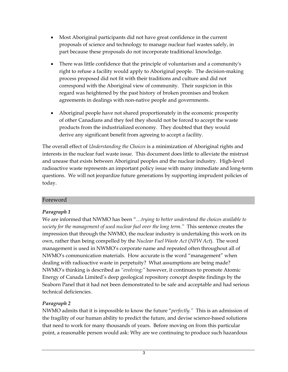- Most Aboriginal participants did not have great confidence in the current proposals of science and technology to manage nuclear fuel wastes safely, in part because these proposals do not incorporate traditional knowledge.
- There was little confidence that the principle of voluntarism and a community's right to refuse a facility would apply to Aboriginal people. The decision-making process proposed did not fit with their traditions and culture and did not correspond with the Aboriginal view of community. Their suspicion in this regard was heightened by the past history of broken promises and broken agreements in dealings with non-native people and governments.
- Aboriginal people have not shared proportionately in the economic prosperity of other Canadians and they feel they should not be forced to accept the waste products from the industrialized economy. They doubted that they would derive any significant benefit from agreeing to accept a facility.

The overall effect of *Understanding the Choices* is a minimization of Aboriginal rights and interests in the nuclear fuel waste issue. This document does little to alleviate the mistrust and unease that exists between Aboriginal peoples and the nuclear industry. High-level radioactive waste represents an important policy issue with many immediate and long-term questions. We will not jeopardize future generations by supporting imprudent policies of today.

#### Foreword

# *Paragraph 1*

We are informed that NWMO has been "…*trying to better understand the choices available to society for the management of used nuclear fuel over the long term."* This sentence creates the impression that through the NWMO, the nuclear industry is undertaking this work on its own, rather than being compelled by the *Nuclear Fuel Waste Act* (*NFW Act*). The word management is used in NWMO's corporate name and repeated often throughout all of NWMO's communication materials. How accurate is the word "management" when dealing with radioactive waste in perpetuity? What assumptions are being made? NWMO's thinking is described as *"evolving;"* however, it continues to promote Atomic Energy of Canada Limited's deep geological repository concept despite findings by the Seaborn Panel that it had not been demonstrated to be safe and acceptable and had serious technical deficiencies.

# *Paragraph 2*

NWMO admits that it is impossible to know the future "*perfectly."* This is an admission of the fragility of our human ability to predict the future, and devise science-based solutions that need to work for many thousands of years. Before moving on from this particular point, a reasonable person would ask: Why are we continuing to produce such hazardous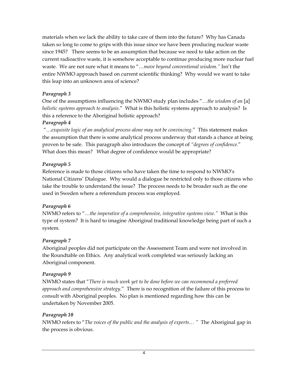materials when we lack the ability to take care of them into the future? Why has Canada taken so long to come to grips with this issue since we have been producing nuclear waste since 1945? There seems to be an assumption that because we need to take action on the current radioactive waste, it is somehow acceptable to continue producing more nuclear fuel waste. We are not sure what it means to "…*move beyond conventional wisdom."* Isn't the entire NWMO approach based on current scientific thinking? Why would we want to take this leap into an unknown area of science?

#### *Paragraph 3*

One of the assumptions influencing the NWMO study plan includes "…*the wisdom of an* [a] *holistic systems approach to analysis*." What is this holistic systems approach to analysis? Is this a reference to the Aboriginal holistic approach?

#### *Paragraph 4*

 "…*exquisite logic of an analytical process alone may not be convincing.*"This statement makes the assumption that there is some analytical process underway that stands a chance at being proven to be safe. This paragraph also introduces the concept of *"degrees of confidence.*" What does this mean? What degree of confidence would be appropriate?

# *Paragraph 5*

Reference is made to those citizens who have taken the time to respond to NWMO's National Citizens' Dialogue. Why would a dialogue be restricted only to those citizens who take the trouble to understand the issue? The process needs to be broader such as the one used in Sweden where a referendum process was employed.

# *Paragraph 6*

NWMO refers to "…*the imperative of a comprehensive, integrative systems view."* What is this type of system? It is hard to imagine Aboriginal traditional knowledge being part of such a system.

# *Paragraph 7*

Aboriginal peoples did not participate on the Assessment Team and were not involved in the Roundtable on Ethics. Any analytical work completed was seriously lacking an Aboriginal component.

# *Paragraph 9*

NWMO states that "*There is much work yet to be done before we can recommend a preferred approach and comprehensive strategy*." There is no recognition of the failure of this process to consult with Aboriginal peoples. No plan is mentioned regarding how this can be undertaken by November 2005.

# *Paragraph 10*

NWMO refers to "*The voices of the public and the analysis of experts… "* The Aboriginal gap in the process is obvious.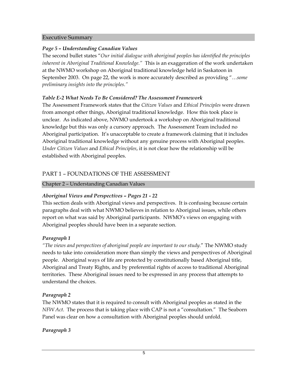#### Executive Summary

#### *Page 5 – Understanding Canadian Values*

The second bullet states "*Our initial dialogue with aboriginal peoples has identified the principles inherent in Aboriginal Traditional Knowledge."* This is an exaggeration of the work undertaken at the NWMO workshop on Aboriginal traditional knowledge held in Saskatoon in September 2003. On page 22, the work is more accurately described as providing "…*some preliminary insights into the principles."*

#### *Table E-2 What Needs To Be Considered? The Assessment Framework*

The Assessment Framework states that the *Citizen Values* and *Ethical Principles* were drawn from amongst other things, Aboriginal traditional knowledge. How this took place is unclear. As indicated above, NWMO undertook a workshop on Aboriginal traditional knowledge but this was only a cursory approach. The Assessment Team included no Aboriginal participation. It's unacceptable to create a framework claiming that it includes Aboriginal traditional knowledge without any genuine process with Aboriginal peoples. *Under Citizen Values* and *Ethical Principles*, it is not clear how the relationship will be established with Aboriginal peoples.

# PART 1 – FOUNDATIONS OF THE ASSESSMENT

Chapter 2 – Understanding Canadian Values

# *Aboriginal Views and Perspectives – Pages 21 - 22*

This section deals with Aboriginal views and perspectives. It is confusing because certain paragraphs deal with what NWMO believes in relation to Aboriginal issues, while others report on what was said by Aboriginal participants. NWMO's views on engaging with Aboriginal peoples should have been in a separate section.

# *Paragraph 1*

*"The views and perspectives of aboriginal people are important to our study.*" The NWMO study needs to take into consideration more than simply the views and perspectives of Aboriginal people. Aboriginal ways of life are protected by constitutionally based Aboriginal title, Aboriginal and Treaty Rights, and by preferential rights of access to traditional Aboriginal territories. These Aboriginal issues need to be expressed in any process that attempts to understand the choices.

# *Paragraph 2*

The NWMO states that it is required to consult with Aboriginal peoples as stated in the *NFW Act*. The process that is taking place with CAP is not a "consultation." The Seaborn Panel was clear on how a consultation with Aboriginal peoples should unfold.

# *Paragraph 3*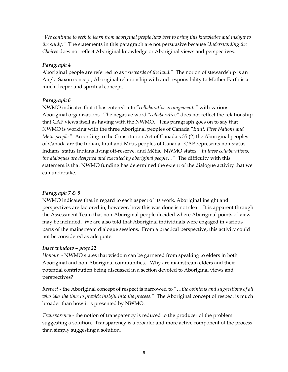"*We continue to seek to learn from aboriginal people how best to bring this knowledge and insight to the study."* The statements in this paragraph are not persuasive because *Understanding the Choices* does not reflect Aboriginal knowledge or Aboriginal views and perspectives.

# *Paragraph 4*

Aboriginal people are referred to as "*stewards of the land."* The notion of stewardship is an Anglo-Saxon concept; Aboriginal relationship with and responsibility to Mother Earth is a much deeper and spiritual concept.

# *Paragraph 6*

NWMO indicates that it has entered into "*collaborative arrangements"* with various Aboriginal organizations. The negative word *"collaborative"* does not reflect the relationship that CAP views itself as having with the NWMO. This paragraph goes on to say that NWMO is working with the three Aboriginal peoples of Canada "*Inuit, First Nations and Metis people*." According to the Constitution Act of Canada s.35 (2) the Aboriginal peoples of Canada are the Indian, Inuit and Métis peoples of Canada. CAP represents non-status Indians, status Indians living off-reserve, and Métis. NWMO states, *"In these collaborations, the dialogues are designed and executed by aboriginal people…"* The difficulty with this statement is that NWMO funding has determined the extent of the dialogue activity that we can undertake.

# *Paragraph 7 & 8*

NWMO indicates that in regard to each aspect of its work, Aboriginal insight and perspectives are factored in; however, how this was done is not clear. It is apparent through the Assessment Team that non-Aboriginal people decided where Aboriginal points of view may be included. We are also told that Aboriginal individuals were engaged in various parts of the mainstream dialogue sessions. From a practical perspective, this activity could not be considered as adequate.

# *Inset window – page 22*

*Honour* - NWMO states that wisdom can be garnered from speaking to elders in both Aboriginal and non-Aboriginal communities. Why are mainstream elders and their potential contribution being discussed in a section devoted to Aboriginal views and perspectives?

*Respect* - the Aboriginal concept of respect is narrowed to "…*the opinions and suggestions of all who take the time to provide insight into the process."* The Aboriginal concept of respect is much broader than how it is presented by NWMO.

*Transparency -* the notion of transparency is reduced to the producer of the problem suggesting a solution. Transparency is a broader and more active component of the process than simply suggesting a solution.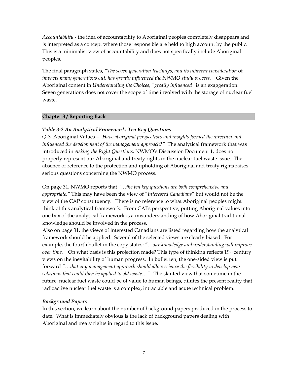*Accountability* - the idea of accountability to Aboriginal peoples completely disappears and is interpreted as a concept where those responsible are held to high account by the public. This is a minimalist view of accountability and does not specifically include Aboriginal peoples.

The final paragraph states, *"The seven generation teachings, and its inherent consideration* of *impacts many generations out, has greatly influenced the NWMO study process."* Given the Aboriginal content in *Understanding the Choices*, *"greatly influenced"* is an exaggeration. Seven generations does not cover the scope of time involved with the storage of nuclear fuel waste.

#### **Chapter 3 / Reporting Back**

#### *Table 3-2 An Analytical Framework: Ten Key Questions*

Q-3 Aboriginal Values – *"Have aboriginal perspectives and insights formed the direction and influenced the development of the management approach?"* The analytical framework that was introduced in *Asking the Right Questions*, NWMO's Discussion Document 1, does not properly represent our Aboriginal and treaty rights in the nuclear fuel waste issue. The absence of reference to the protection and upholding of Aboriginal and treaty rights raises serious questions concerning the NWMO process.

On page 31, NWMO reports that "…*the ten key questions are both comprehensive and appropriate."* This may have been the view of "*Interested Canadians*" but would not be the view of the CAP constituency. There is no reference to what Aboriginal peoples might think of this analytical framework. From CAPs perspective, putting Aboriginal values into one box of the analytical framework is a misunderstanding of how Aboriginal traditional knowledge should be involved in the process.

Also on page 31, the views of interested Canadians are listed regarding how the analytical framework should be applied. Several of the selected views are clearly biased. For example, the fourth bullet in the copy states*: "…our knowledge and understanding will improve over time."* On what basis is this projection made? This type of thinking reflects 19<sup>th</sup> century views on the inevitability of human progress. In bullet ten, the one-sided view is put forward *"…that any management approach should allow science the flexibility to develop new solutions that could then be applied to old waste…"* The slanted view that sometime in the future, nuclear fuel waste could be of value to human beings, dilutes the present reality that radioactive nuclear fuel waste is a complex, intractable and acute technical problem.

# *Background Papers*

In this section, we learn about the number of background papers produced in the process to date. What is immediately obvious is the lack of background papers dealing with Aboriginal and treaty rights in regard to this issue.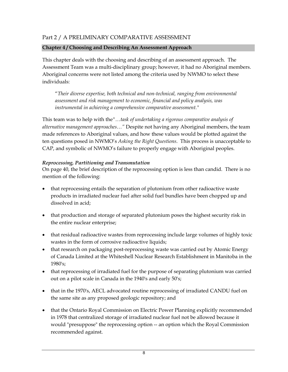#### **Chapter 4 / Choosing and Describing An Assessment Approach**

This chapter deals with the choosing and describing of an assessment approach. The Assessment Team was a multi-disciplinary group; however, it had no Aboriginal members. Aboriginal concerns were not listed among the criteria used by NWMO to select these individuals:

"*Their diverse expertise, both technical and non-technical, ranging from environmental assessment and risk management to economic, financial and policy analysis, was instrumental in achieving a comprehensive comparative assessment."*

This team was to help with the*"…task of undertaking a rigorous comparative analysis of alternative management approaches…"* Despite not having any Aboriginal members, the team made references to Aboriginal values, and how these values would be plotted against the ten questions posed in NWMO's *Asking the Right Questions*. This process is unacceptable to CAP, and symbolic of NWMO's failure to properly engage with Aboriginal peoples.

#### *Reprocessing, Partitioning and Transmutation*

On page 40, the brief description of the reprocessing option is less than candid. There is no mention of the following:

- that reprocessing entails the separation of plutonium from other radioactive waste products in irradiated nuclear fuel after solid fuel bundles have been chopped up and dissolved in acid;
- that production and storage of separated plutonium poses the highest security risk in the entire nuclear enterprise;
- that residual radioactive wastes from reprocessing include large volumes of highly toxic wastes in the form of corrosive radioactive liquids;
- that research on packaging post-reprocessing waste was carried out by Atomic Energy of Canada Limited at the Whiteshell Nuclear Research Establishment in Manitoba in the 1980's;
- that reprocessing of irradiated fuel for the purpose of separating plutonium was carried out on a pilot scale in Canada in the 1940's and early 50's;
- that in the 1970's, AECL advocated routine reprocessing of irradiated CANDU fuel on the same site as any proposed geologic repository; and
- that the Ontario Royal Commission on Electric Power Planning explicitly recommended in 1978 that centralized storage of irradiated nuclear fuel not be allowed because it would "presuppose" the reprocessing option -- an option which the Royal Commission recommended against.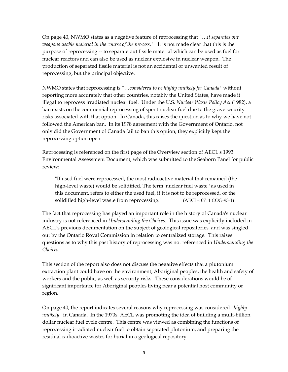On page 40, NWMO states as a negative feature of reprocessing that *"…it separates out weapons usable material in the course of the process."* It is not made clear that this is the purpose of reprocessing -- to separate out fissile material which can be used as fuel for nuclear reactors and can also be used as nuclear explosive in nuclear weapon. The production of separated fissile material is not an accidental or unwanted result of reprocessing, but the principal objective.

NWMO states that reprocessing is *"…considered to be highly unlikely for Canada"* without reporting more accurately that other countries, notably the United States, have made it illegal to reprocess irradiated nuclear fuel. Under the U.S. *Nuclear Waste Policy Act* (1982), a ban exists on the commercial reprocessing of spent nuclear fuel due to the grave security risks associated with that option. In Canada, this raises the question as to why we have not followed the American ban. In its 1978 agreement with the Government of Ontario, not only did the Government of Canada fail to ban this option, they explicitly kept the reprocessing option open.

Reprocessing is referenced on the first page of the Overview section of AECL's 1993 Environmental Assessment Document, which was submitted to the Seaborn Panel for public review:

"If used fuel were reprocessed, the most radioactive material that remained (the high-level waste) would be solidified. The term 'nuclear fuel waste,' as used in this document, refers to either the used fuel, if it is not to be reprocessed, or the solidified high-level waste from reprocessing." (AECL-10711 COG-93-1)

The fact that reprocessing has played an important role in the history of Canada's nuclear industry is not referenced in *Understanding the Choices*. This issue was explicitly included in AECL's previous documentation on the subject of geological repositories, and was singled out by the Ontario Royal Commission in relation to centralized storage. This raises questions as to why this past history of reprocessing was not referenced in *Understanding the Choices*.

This section of the report also does not discuss the negative effects that a plutonium extraction plant could have on the environment, Aboriginal peoples, the health and safety of workers and the public, as well as security risks. These considerations would be of significant importance for Aboriginal peoples living near a potential host community or region.

On page 40, the report indicates several reasons why reprocessing was considered *"highly unlikely"* in Canada. In the 1970s, AECL was promoting the idea of building a multi-billion dollar nuclear fuel cycle centre. This centre was viewed as combining the functions of reprocessing irradiated nuclear fuel to obtain separated plutonium, and preparing the residual radioactive wastes for burial in a geological repository.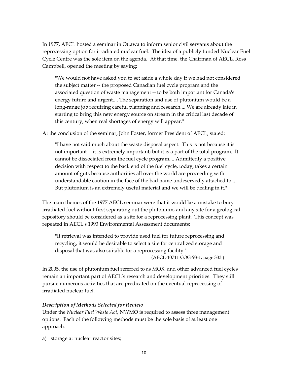In 1977, AECL hosted a seminar in Ottawa to inform senior civil servants about the reprocessing option for irradiated nuclear fuel. The idea of a publicly funded Nuclear Fuel Cycle Centre was the sole item on the agenda. At that time, the Chairman of AECL, Ross Campbell, opened the meeting by saying:

"We would not have asked you to set aside a whole day if we had not considered the subject matter -- the proposed Canadian fuel cycle program and the associated question of waste management -- to be both important for Canada's energy future and urgent.... The separation and use of plutonium would be a long-range job requiring careful planning and research.... We are already late in starting to bring this new energy source on stream in the critical last decade of this century, when real shortages of energy will appear."

At the conclusion of the seminar, John Foster, former President of AECL, stated:

"I have not said much about the waste disposal aspect. This is not because it is not important -- it is extremely important; but it is a part of the total program. It cannot be dissociated from the fuel cycle program.... Admittedly a positive decision with respect to the back end of the fuel cycle, today, takes a certain amount of guts because authorities all over the world are proceeding with understandable caution in the face of the bad name undeservedly attached to.... But plutonium is an extremely useful material and we will be dealing in it."

The main themes of the 1977 AECL seminar were that it would be a mistake to bury irradiated fuel without first separating out the plutonium, and any site for a geological repository should be considered as a site for a reprocessing plant. This concept was repeated in AECL's 1993 Environmental Assessment documents:

"If retrieval was intended to provide used fuel for future reprocessing and recycling, it would be desirable to select a site for centralized storage and disposal that was also suitable for a reprocessing facility."

(AECL-10711 COG-93-1, page 333 )

In 2005, the use of plutonium fuel referred to as MOX, and other advanced fuel cycles remain an important part of AECL's research and development priorities. They still pursue numerous activities that are predicated on the eventual reprocessing of irradiated nuclear fuel.

#### *Description of Methods Selected for Review*

Under the *Nuclear Fuel Waste Act*, NWMO is required to assess three management options. Each of the following methods must be the sole basis of at least one approach:

a) storage at nuclear reactor sites;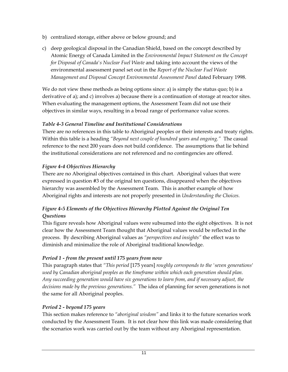- b) centralized storage, either above or below ground; and
- c) deep geological disposal in the Canadian Shield, based on the concept described by Atomic Energy of Canada Limited in the *Environmental Impact Statement on the Concept for Disposal of Canada's Nuclear Fuel Waste* and taking into account the views of the environmental assessment panel set out in the *Report of the Nuclear Fuel Waste Management and Disposal Concept Environmental Assessment Panel* dated February 1998.

We do not view these methods as being options since: a) is simply the status quo; b) is a derivative of a); and c) involves a) because there is a continuation of storage at reactor sites. When evaluating the management options, the Assessment Team did not use their objectives in similar ways, resulting in a broad range of performance value scores.

# *Table 4-3 General Timeline and Institutional Considerations*

There are no references in this table to Aboriginal peoples or their interests and treaty rights. Within this table is a heading *"Beyond next couple of hundred years and ongoing."* The casual reference to the next 200 years does not build confidence. The assumptions that lie behind the institutional considerations are not referenced and no contingencies are offered.

# *Figure 4-4 Objectives Hierarchy*

There are no Aboriginal objectives contained in this chart. Aboriginal values that were expressed in question #3 of the original ten questions, disappeared when the objectives hierarchy was assembled by the Assessment Team. This is another example of how Aboriginal rights and interests are not properly presented in *Understanding the Choices.* 

# *Figure 4-5 Elements of the Objectives Hierarchy Plotted Against the Original Ten Questions*

This figure reveals how Aboriginal values were subsumed into the eight objectives. It is not clear how the Assessment Team thought that Aboriginal values would be reflected in the process. By describing Aboriginal values as *"perspectives and insights"* the effect was to diminish and minimalize the role of Aboriginal traditional knowledge.

# *Period 1 - from the present until 175 years from now*

This paragraph states that *"This period* [175 years] *roughly corresponds to the 'seven generations' used by Canadian aboriginal peoples as the timeframe within which each generation should plan. Any succeeding generation would have six generations to learn from, and if necessary adjust, the decisions made by the previous generations."* The idea of planning for seven generations is not the same for all Aboriginal peoples.

# *Period 2 - beyond 175 years*

This section makes reference to *"aboriginal wisdom"* and links it to the future scenarios work conducted by the Assessment Team. It is not clear how this link was made considering that the scenarios work was carried out by the team without any Aboriginal representation.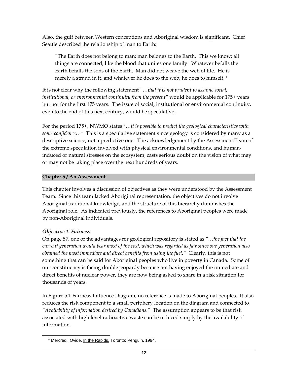Also, the gulf between Western conceptions and Aboriginal wisdom is significant. Chief Seattle described the relationship of man to Earth:

"The Earth does not belong to man; man belongs to the Earth. This we know: all things are connected, like the blood that unites one family. Whatever befalls the Earth befalls the sons of the Earth. Man did not weave the web of life. He is merely a strand in it, and whatever he does to the web, he does to himself.<sup>1</sup>

It is not clear why the following statement *"…that it is not prudent to assume social, institutional, or environmental continuity from the present"* would be applicable for 175+ years but not for the first 175 years. The issue of social, institutional or environmental continuity, even to the end of this next century, would be speculative.

For the period 175+, NWMO states "…*it is possible to predict the geological characteristics with some confidence…"* This is a speculative statement since geology is considered by many as a descriptive science; not a predictive one. The acknowledgement by the Assessment Team of the extreme speculation involved with physical environmental conditions, and humaninduced or natural stresses on the ecosystem, casts serious doubt on the vision of what may or may not be taking place over the next hundreds of years.

#### **Chapter 5 / An Assessment**

This chapter involves a discussion of objectives as they were understood by the Assessment Team. Since this team lacked Aboriginal representation, the objectives do not involve Aboriginal traditional knowledge, and the structure of this hierarchy diminishes the Aboriginal role. As indicated previously, the references to Aboriginal peoples were made by non-Aboriginal individuals.

#### *Objective 1: Fairness*

 $\overline{a}$ 

On page 57, one of the advantages for geological repository is stated as *"…the fact that the current generation would bear most of the cost, which was regarded as fair since our generation also obtained the most immediate and direct benefits from using the fuel."* Clearly, this is not something that can be said for Aboriginal peoples who live in poverty in Canada. Some of our constituency is facing double jeopardy because not having enjoyed the immediate and direct benefits of nuclear power, they are now being asked to share in a risk situation for thousands of years.

In Figure 5.1 Fairness Influence Diagram, no reference is made to Aboriginal peoples. It also reduces the risk component to a small periphery location on the diagram and connected to *"Availability of information desired by Canadians."* The assumption appears to be that risk associated with high level radioactive waste can be reduced simply by the availability of information.

<sup>&</sup>lt;sup>1</sup> Mercredi, Ovide. In the Rapids. Toronto: Penguin, 1994.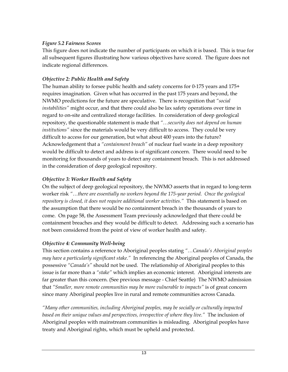#### *Figure 5.2 Fairness Scores*

This figure does not indicate the number of participants on which it is based. This is true for all subsequent figures illustrating how various objectives have scored. The figure does not indicate regional differences.

# *Objective 2: Public Health and Safety*

The human ability to forsee public health and safety concerns for 0-175 years and 175+ requires imagination. Given what has occurred in the past 175 years and beyond, the NWMO predictions for the future are speculative. There is recognition that *"social instabilities"* might occur, and that there could also be lax safety operations over time in regard to on-site and centralized storage facilities. In consideration of deep geological repository, the questionable statement is made that *"…security does not depend on human institutions"* since the materials would be very difficult to access. They could be very difficult to access for our generation, but what about 400 years into the future? Acknowledgement that a *"containment breach"* of nuclear fuel waste in a deep repository would be difficult to detect and address is of significant concern. There would need to be monitoring for thousands of years to detect any containment breach. This is not addressed in the consideration of deep geological repository.

# *Objective 3: Worker Health and Safety*

On the subject of deep geological repository, the NWMO asserts that in regard to long-term worker risk *"…there are essentially no workers beyond the 175-year period. Once the geological repository is closed, it does not require additional worker activities."* This statement is based on the assumption that there would be no containment breach in the thousands of years to come. On page 58, the Assessment Team previously acknowledged that there could be containment breaches and they would be difficult to detect. Addressing such a scenario has not been considered from the point of view of worker health and safety.

# *Objective 4: Community Well-being*

This section contains a reference to Aboriginal peoples stating *"…Canada's Aboriginal peoples may have a particularly significant stake."* In referencing the Aboriginal peoples of Canada, the possessive *"Canada's"* should not be used. The relationship of Aboriginal peoples to this issue is far more than a *"stake"* which implies an economic interest. Aboriginal interests are far greater than this concern. (See previous message - Chief Seattle) The NWMO admission that *"Smaller, more remote communities may be more vulnerable to impacts"* is of great concern since many Aboriginal peoples live in rural and remote communities across Canada.

*"Many other communities, including Aboriginal peoples, may be socially or culturally impacted based on their unique values and perspectives, irrespective of where they live."* The inclusion of Aboriginal peoples with mainstream communities is misleading. Aboriginal peoples have treaty and Aboriginal rights, which must be upheld and protected.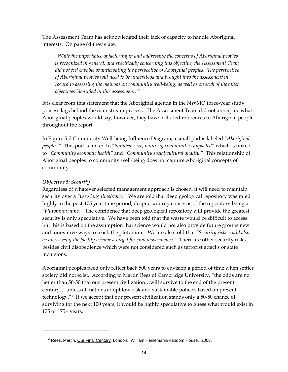The Assessment Team has acknowledged their lack of capacity to handle Aboriginal interests. On page 64 they state:

*"While the importance of factoring in and addressing the concerns of Aboriginal peoples is recognized in general, and specifically concerning this objective, the Assessment Team did not feel capable of anticipating the perspective of Aboriginal peoples. The perspective of Aboriginal peoples will need to be understood and brought into the assessment in regard to assessing the methods on community well-being, as well as on each of the other objectives identified in this assessment*. "

It is clear from this statement that the Aboriginal agenda in the NWMO three-year study process lags behind the mainstream process. The Assessment Team did not anticipate what Aboriginal peoples would say; however, they have included references to Aboriginal people throughout the report.

In Figure 5-7 Community Well-being Influence Diagram*,* a small pod is labeled *"Aboriginal peoples."* This pod is linked to *"Number, size, nature of communities impacted"* which is linked to *"Community economic health"* and "*Community social/cultural quality*." This relationship of Aboriginal peoples to community well-being does not capture Aboriginal concepts of community.

#### *Objective 5: Security*

 $\overline{a}$ 

Regardless of whatever selected management approach is chosen, it will need to maintain security over a *"very long timeframe."* We are told that deep geological repository was rated highly in the post-175 year time period, despite security concerns of the repository being a *"plutonium mine."* The confidence that deep geological repository will provide the greatest security is only speculative. We have been told that the waste would be difficult to access but this is based on the assumption that science would not also provide future groups new and innovative ways to reach the plutonium. We are also told that *"Security risks could also be increased if the facility became a target for civil disobedience."* There are other security risks besides civil disobedience which were not considered such as terrorist attacks or state incursions.

Aboriginal peoples need only reflect back 500 years to envision a period of time when settler society did not exist. According to Martin Rees of Cambridge University, "the odds are no better than 50-50 that our present civilization…will survive to the end of the present century… unless all nations adopt low-risk and sustainable policies based on present technology."2 If we accept that our present civilization stands only a 50-50 chance of surviving for the next 100 years, it would be highly speculative to guess what would exist in 175 or 175+ years.

<sup>&</sup>lt;sup>2</sup> Rees, Martin. Our Final Century. London: William Heinemann/Random House. 2003.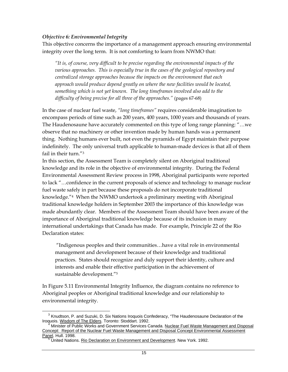#### *Objective 6: Environmental Integrity*

This objective concerns the importance of a management approach ensuring environmental integrity over the long term. It is not comforting to learn from NWMO that:

*"It is, of course, very difficult to be precise regarding the environmental impacts of the various approaches. This is especially true in the cases of the geological repository and centralized storage approaches because the impacts on the environment that each approach would produce depend greatly on where the new facilities would be located, something which is not yet known. The long timeframes involved also add to the difficulty of being precise for all three of the approaches."* (pages 67-68)

In the case of nuclear fuel waste, *"long timeframes"* requires considerable imagination to encompass periods of time such as 200 years, 400 years, 1000 years and thousands of years. The Haudenosaune have accurately commented on this type of long range planning: "…we observe that no machinery or other invention made by human hands was a permanent thing. Nothing humans ever built, not even the pyramids of Egypt maintain their purpose indefinitely. The only universal truth applicable to human-made devices is that all of them fail in their turn."3

In this section, the Assessment Team is completely silent on Aboriginal traditional knowledge and its role in the objective of environmental integrity. During the Federal Environmental Assessment Review process in 1998, Aboriginal participants were reported to lack "…confidence in the current proposals of science and technology to manage nuclear fuel waste safely in part because these proposals do not incorporate traditional knowledge."4 When the NWMO undertook a preliminary meeting with Aboriginal traditional knowledge holders in September 2003 the importance of this knowledge was made abundantly clear. Members of the Assessment Team should have been aware of the importance of Aboriginal traditional knowledge because of its inclusion in many international undertakings that Canada has made. For example, Principle 22 of the Rio Declaration states:

 "Indigenous peoples and their communities…have a vital role in environmental management and development because of their knowledge and traditional practices. States should recognize and duly support their identity, culture and interests and enable their effective participation in the achievement of sustainable development."5

In Figure 5.11 Environmental Integrity Influence, the diagram contains no reference to Aboriginal peoples or Aboriginal traditional knowledge and our relationship to environmental integrity.

 $\overline{a}$ <sup>3</sup> Knudtson, P. and Suzuki, D. Six Nations Iroquois Confederacy, "The Haudenosaune Declaration of the Iroquois. Wisdom of The Elders. Toronto: Stoddart. 1992.

<sup>4</sup> Minister of Public Works and Government Services Canada. Nuclear Fuel Waste Management and Disposal Concept: Report of the Nuclear Fuel Waste Management and Disposal Concept Environmental Assessment Panel. Hull. 1998.

<sup>&</sup>lt;sup>5</sup> United Nations. Rio Declaration on Environment and Development. New York. 1992.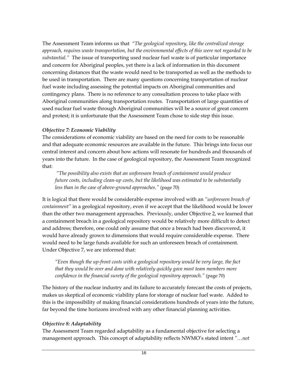The Assessment Team informs us that *"The geological repository, like the centralized storage approach, requires waste transportation, but the environmental effects of this were not regarded to be substantial."* The issue of transporting used nuclear fuel waste is of particular importance and concern for Aboriginal peoples, yet there is a lack of information in this document concerning distances that the waste would need to be transported as well as the methods to be used in transportation. There are many questions concerning transportation of nuclear fuel waste including assessing the potential impacts on Aboriginal communities and contingency plans. There is no reference to any consultation process to take place with Aboriginal communities along transportation routes. Transportation of large quantities of used nuclear fuel waste through Aboriginal communities will be a source of great concern and protest; it is unfortunate that the Assessment Team chose to side step this issue.

#### *Objective 7: Economic Viability*

The considerations of economic viability are based on the need for costs to be reasonable and that adequate economic resources are available in the future. This brings into focus our central interest and concern about how actions will resonate for hundreds and thousands of years into the future. In the case of geological repository, the Assessment Team recognized that:

 *"The possibility also exists that an unforeseen breach of containment would produce future costs, including clean-up costs, but the likelihood was estimated to be substantially less than in the case of above-ground approaches."* (page 70)

It is logical that there would be considerable expense involved with an *"unforeseen breach of containment"* in a geological repository, even if we accept that the likelihood would be lower than the other two management approaches. Previously, under Objective 2, we learned that a containment breach in a geological repository would be relatively more difficult to detect and address; therefore, one could only assume that once a breach had been discovered, it would have already grown to dimensions that would require considerable expense. There would need to be large funds available for such an unforeseen breach of containment. Under Objective 7, we are informed that:

*"Even though the up-front costs with a geological repository would be very large, the fact that they would be over and done with relatively quickly gave most team members more confidence in the financial surety of the geological repository approach."* (page 70)

The history of the nuclear industry and its failure to accurately forecast the costs of projects, makes us skeptical of economic viability plans for storage of nuclear fuel waste. Added to this is the impossibility of making financial considerations hundreds of years into the future, far beyond the time horizons involved with any other financial planning activities.

#### *Objective 8: Adaptability*

The Assessment Team regarded adaptability as a fundamental objective for selecting a management approach. This concept of adaptability reflects NWMO's stated intent *"…not*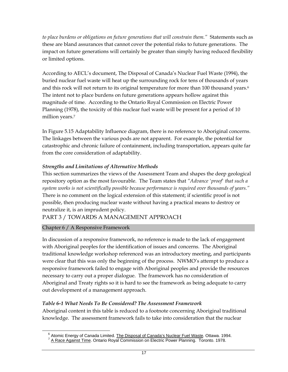*to place burdens or obligations on future generations that will constrain them."* Statements such as these are bland assurances that cannot cover the potential risks to future generations. The impact on future generations will certainly be greater than simply having reduced flexibility or limited options.

According to AECL's document, The Disposal of Canada's Nuclear Fuel Waste (1994), the buried nuclear fuel waste will heat up the surrounding rock for tens of thousands of years and this rock will not return to its original temperature for more than 100 thousand years.<sup>6</sup> The intent not to place burdens on future generations appears hollow against this magnitude of time. According to the Ontario Royal Commission on Electric Power Planning (1978), the toxicity of this nuclear fuel waste will be present for a period of 10 million years.7

In Figure 5.15 Adaptability Influence diagram, there is no reference to Aboriginal concerns. The linkages between the various pods are not apparent. For example, the potential for catastrophic and chronic failure of containment, including transportation, appears quite far from the core consideration of adaptability.

#### *Strengths and Limitations of Alternative Methods*

This section summarizes the views of the Assessment Team and shapes the deep geological repository option as the most favourable. The Team states that *"Advance 'proof' that such a system works is not scientifically possible because performance is required over thousands of years."* There is no comment on the logical extension of this statement; if scientific proof is not possible, then producing nuclear waste without having a practical means to destroy or neutralize it, is an imprudent policy.

# PART 3 / TOWARDS A MANAGEMENT APPROACH

# Chapter 6 / A Responsive Framework

 $\overline{a}$ 

In discussion of a responsive framework, no reference is made to the lack of engagement with Aboriginal peoples for the identification of issues and concerns. The Aboriginal traditional knowledge workshop referenced was an introductory meeting, and participants were clear that this was only the beginning of the process. NWMO's attempt to produce a responsive framework failed to engage with Aboriginal peoples and provide the resources necessary to carry out a proper dialogue. The framework has no consideration of Aboriginal and Treaty rights so it is hard to see the framework as being adequate to carry out development of a management approach.

# *Table 6-1 What Needs To Be Considered? The Assessment Framework*

Aboriginal content in this table is reduced to a footnote concerning Aboriginal traditional knowledge. The assessment framework fails to take into consideration that the nuclear

<sup>&</sup>lt;sup>6</sup> Atomic Energy of Canada Limited. The Disposal of Canada's Nuclear Fuel Waste. Ottawa. 1994.

<sup>7</sup> A Race Against Time. Ontario Royal Commission on Electric Power Planning. Toronto. 1978.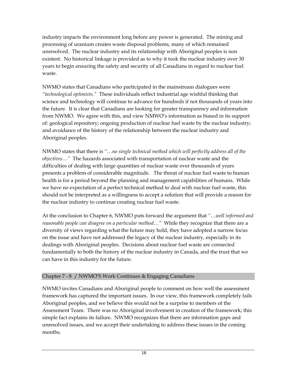industry impacts the environment long before any power is generated. The mining and processing of uranium creates waste disposal problems, many of which remained unresolved. The nuclear industry and its relationship with Aboriginal peoples is non existent. No historical linkage is provided as to why it took the nuclear industry over 30 years to begin ensuring the safety and security of all Canadians in regard to nuclear fuel waste.

NWMO states that Canadians who participated in the mainstream dialogues were *"technological optimists."* These individuals reflect industrial age wishful thinking that science and technology will continue to advance for hundreds if not thousands of years into the future. It is clear that Canadians are looking for greater transparency and information from NWMO. We agree with this, and view NMWO's information as biased in its support of: geological repository; ongoing production of nuclear fuel waste by the nuclear industry; and avoidance of the history of the relationship between the nuclear industry and Aboriginal peoples.

NWMO states that there is *"…no single technical method which will perfectly address all of the objectives…"* The hazards associated with transportation of nuclear waste and the difficulties of dealing with large quantities of nuclear waste over thousands of years presents a problem of considerable magnitude. The threat of nuclear fuel waste to human health is for a period beyond the planning and management capabilities of humans. While we have no expectation of a perfect technical method to deal with nuclear fuel waste, this should not be interpreted as a willingness to accept a solution that will provide a reason for the nuclear industry to continue creating nuclear fuel waste.

At the conclusion to Chapter 6, NWMO puts forward the argument that *"…well informed and reasonable people can disagree on a particular method…"* While they recognize that there are a diversity of views regarding what the future may hold, they have adopted a narrow focus on the issue and have not addressed the legacy of the nuclear industry, especially in its dealings with Aboriginal peoples. Decisions about nuclear fuel waste are connected fundamentally to both the history of the nuclear industry in Canada, and the trust that we can have in this industry for the future.

# Chapter 7 - 8 / NWMO'S Work Continues & Engaging Canadians

NWMO invites Canadians and Aboriginal people to comment on how well the assessment framework has captured the important issues. In our view, this framework completely fails Aboriginal peoples, and we believe this would not be a surprise to members of the Assessment Team. There was no Aboriginal involvement in creation of the framework; this simple fact explains its failure. NWMO recognizes that there are information gaps and unresolved issues, and we accept their undertaking to address these issues in the coming months.